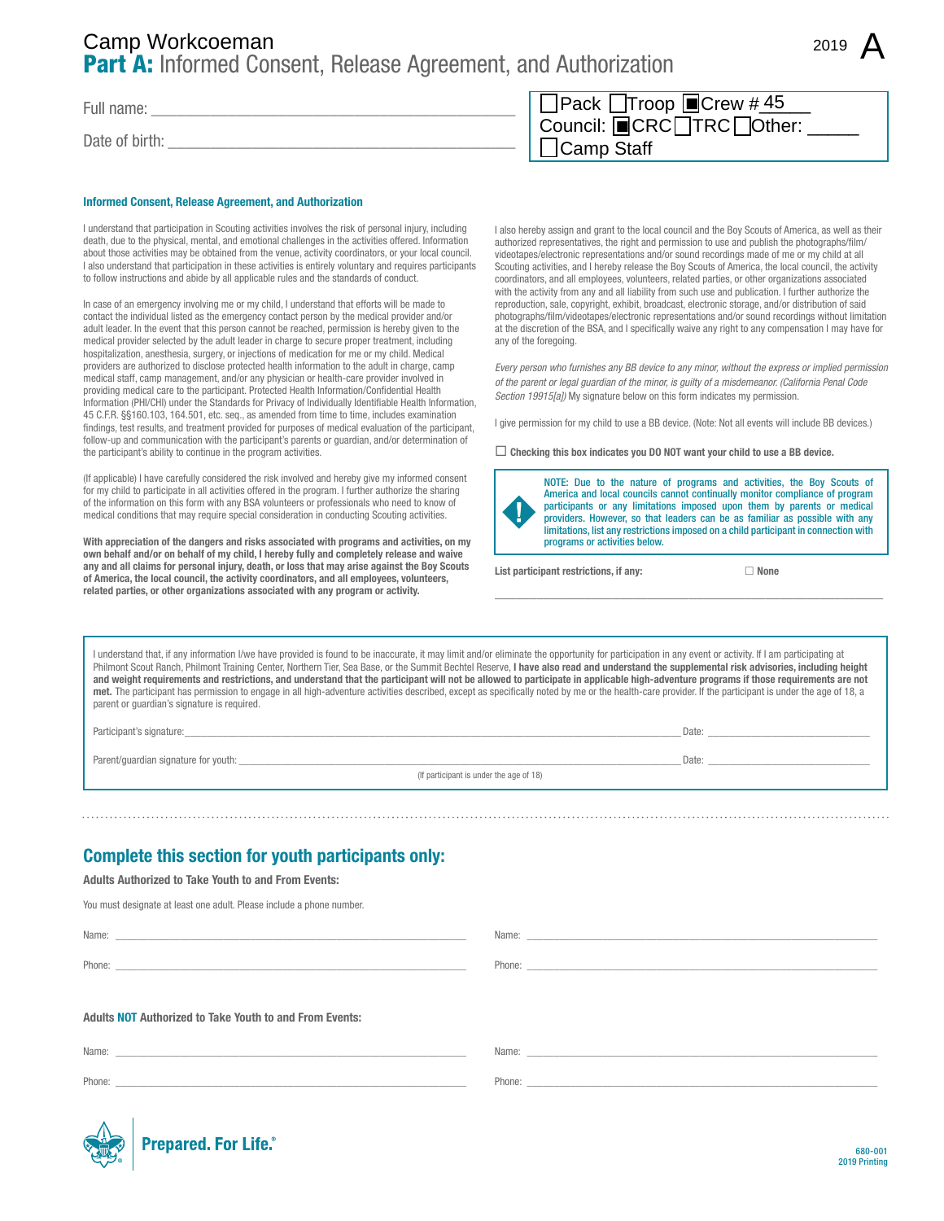# Part A: Informed Consent, Release Agreement, and Authorization Camp Staff Camp Workcoeman <sup>2019</sup>

Full name:

Date of birth:

#### Informed Consent, Release Agreement, and Authorization

I understand that participation in Scouting activities involves the risk of personal injury, including death, due to the physical, mental, and emotional challenges in the activities offered. Information about those activities may be obtained from the venue, activity coordinators, or your local council. I also understand that participation in these activities is entirely voluntary and requires participants to follow instructions and abide by all applicable rules and the standards of conduct.

In case of an emergency involving me or my child, I understand that efforts will be made to contact the individual listed as the emergency contact person by the medical provider and/or adult leader. In the event that this person cannot be reached, permission is hereby given to the medical provider selected by the adult leader in charge to secure proper treatment, including hospitalization, anesthesia, surgery, or injections of medication for me or my child. Medical providers are authorized to disclose protected health information to the adult in charge, camp medical staff, camp management, and/or any physician or health-care provider involved in providing medical care to the participant. Protected Health Information/Confidential Health Information (PHI/CHI) under the Standards for Privacy of Individually Identifiable Health Information, 45 C.F.R. §§160.103, 164.501, etc. seq., as amended from time to time, includes examination findings, test results, and treatment provided for purposes of medical evaluation of the participant, follow-up and communication with the participant's parents or guardian, and/or determination of the participant's ability to continue in the program activities.

(If applicable) I have carefully considered the risk involved and hereby give my informed consent for my child to participate in all activities offered in the program. I further authorize the sharing of the information on this form with any BSA volunteers or professionals who need to know of medical conditions that may require special consideration in conducting Scouting activities.

With appreciation of the dangers and risks associated with programs and activities, on my own behalf and/or on behalf of my child, I hereby fully and completely release and waive any and all claims for personal injury, death, or loss that may arise against the Boy Scouts of America, the local council, the activity coordinators, and all employees, volunteers, related parties, or other organizations associated with any program or activity.

| □Pack Troop ■Crew #45            |  |
|----------------------------------|--|
| Council: <b>■</b> CRC□TRC□Other: |  |
| $\Box$ Camp Staff                |  |

I also hereby assign and grant to the local council and the Boy Scouts of America, as well as their authorized representatives, the right and permission to use and publish the photographs/film/ videotapes/electronic representations and/or sound recordings made of me or my child at all Scouting activities, and I hereby release the Boy Scouts of America, the local council, the activity coordinators, and all employees, volunteers, related parties, or other organizations associated with the activity from any and all liability from such use and publication. I further authorize the reproduction, sale, copyright, exhibit, broadcast, electronic storage, and/or distribution of said photographs/film/videotapes/electronic representations and/or sound recordings without limitation at the discretion of the BSA, and I specifically waive any right to any compensation I may have for any of the foregoing.

*Every person who furnishes any BB device to any minor, without the express or implied permission of the parent or legal guardian of the minor, is guilty of a misdemeanor. (California Penal Code Section 19915[a])* My signature below on this form indicates my permission.

I give permission for my child to use a BB device. (Note: Not all events will include BB devices.)

 $\Box$  Checking this box indicates you DO NOT want your child to use a BB device.



NOTE: Due to the nature of programs and activities, the Boy Scouts of America and local councils cannot continually monitor compliance of program participants or any limitations imposed upon them by parents or medical providers. However, so that leaders can be as familiar as possible with any limitations, list any restrictions imposed on a child participant in connection with programs or activities below.

\_\_\_\_\_\_\_\_\_\_\_\_\_\_\_\_\_\_\_\_\_\_\_\_\_\_\_\_\_\_\_\_\_\_\_\_\_\_\_\_\_\_\_\_\_\_\_\_\_\_\_\_\_\_\_\_

List participant restrictions, if any:  $\Box$  None

I understand that, if any information I/we have provided is found to be inaccurate, it may limit and/or eliminate the opportunity for participation in any event or activity. If I am participating at Philmont Scout Ranch, Philmont Training Center, Northern Tier, Sea Base, or the Summit Bechtel Reserve, I have also read and understand the supplemental risk advisories, including height and weight requirements and restrictions, and understand that the participant will not be allowed to participate in applicable high-adventure programs if those requirements are not met. The participant has permission to engage in all high-adventure activities described, except as specifically noted by me or the health-care provider. If the participant is under the age of 18, a parent or guardian's signature is required.

Participant's signature:\_\_\_\_\_\_\_\_\_\_\_\_\_\_\_\_\_\_\_\_\_\_\_\_\_\_\_\_\_\_\_\_\_\_\_\_\_\_\_\_\_\_\_\_\_\_\_\_\_\_\_\_\_\_\_\_\_\_\_\_\_\_\_\_\_\_\_\_\_\_\_\_\_\_\_\_\_\_\_\_\_\_\_\_\_\_\_\_\_\_\_\_ Date: \_\_\_\_\_\_\_\_\_\_\_\_\_\_\_\_\_\_\_\_\_\_\_\_\_\_\_\_\_\_

Parent/guardian signature for youth: \_\_\_\_\_\_\_\_\_\_\_\_\_\_\_\_\_\_\_\_\_\_\_\_\_\_\_\_\_\_\_\_\_\_\_\_\_\_\_\_\_\_\_\_\_\_\_\_\_\_\_\_\_\_\_\_\_\_\_\_\_\_\_\_\_\_\_\_\_\_\_\_\_\_\_\_\_\_\_\_\_\_ Date: \_\_\_\_\_\_\_\_\_\_\_\_\_\_\_\_\_\_\_\_\_\_\_\_\_\_\_\_\_\_

(If participant is under the age of 18)

## Complete this section for youth participants only:

Adults Authorized to Take Youth to and From Events:

You must designate at least one adult. Please include a phone number.

Adults NOT Authorized to Take Youth to and From Events: Name: \_\_\_\_\_\_\_\_\_\_\_\_\_\_\_\_\_\_\_\_\_\_\_\_\_\_\_\_\_\_\_\_\_\_\_\_\_\_\_\_\_\_\_\_\_\_\_\_\_\_\_\_\_\_\_\_\_\_\_\_\_\_\_\_\_ Phone: \_\_\_\_\_\_\_\_\_\_\_\_\_\_\_\_\_\_\_\_\_\_\_\_\_\_\_\_\_\_\_\_\_\_\_\_\_\_\_\_\_\_\_\_\_\_\_\_\_\_\_\_\_\_\_\_\_\_\_\_\_\_\_\_\_ Name: Phone: \_\_\_\_\_\_\_\_\_\_\_\_\_\_\_\_\_\_\_\_\_\_\_\_\_\_\_\_\_\_\_\_\_\_\_\_\_\_\_\_\_\_\_\_\_\_\_\_\_\_\_\_\_\_\_\_\_\_\_\_\_\_\_\_\_ Name: \_\_\_\_\_\_\_\_\_\_\_\_\_\_\_\_\_\_\_\_\_\_\_\_\_\_\_\_\_\_\_\_\_\_\_\_\_\_\_\_\_\_\_\_\_\_\_\_\_\_\_\_\_\_\_\_\_\_\_\_\_\_\_\_\_ Name: \_\_\_\_\_\_\_\_\_\_\_\_\_\_\_\_\_\_\_\_\_\_\_\_\_\_\_\_\_\_\_\_\_\_\_\_\_\_\_\_\_\_\_\_\_\_\_\_\_\_\_\_\_\_\_\_\_\_\_\_\_\_\_\_\_

Phone:

Phone: \_\_\_\_\_\_\_\_\_\_\_\_\_\_\_\_\_\_\_\_\_\_\_\_\_\_\_\_\_\_\_\_\_\_\_\_\_\_\_\_\_\_\_\_\_\_\_\_\_\_\_\_\_\_\_\_\_\_\_\_\_\_\_\_\_

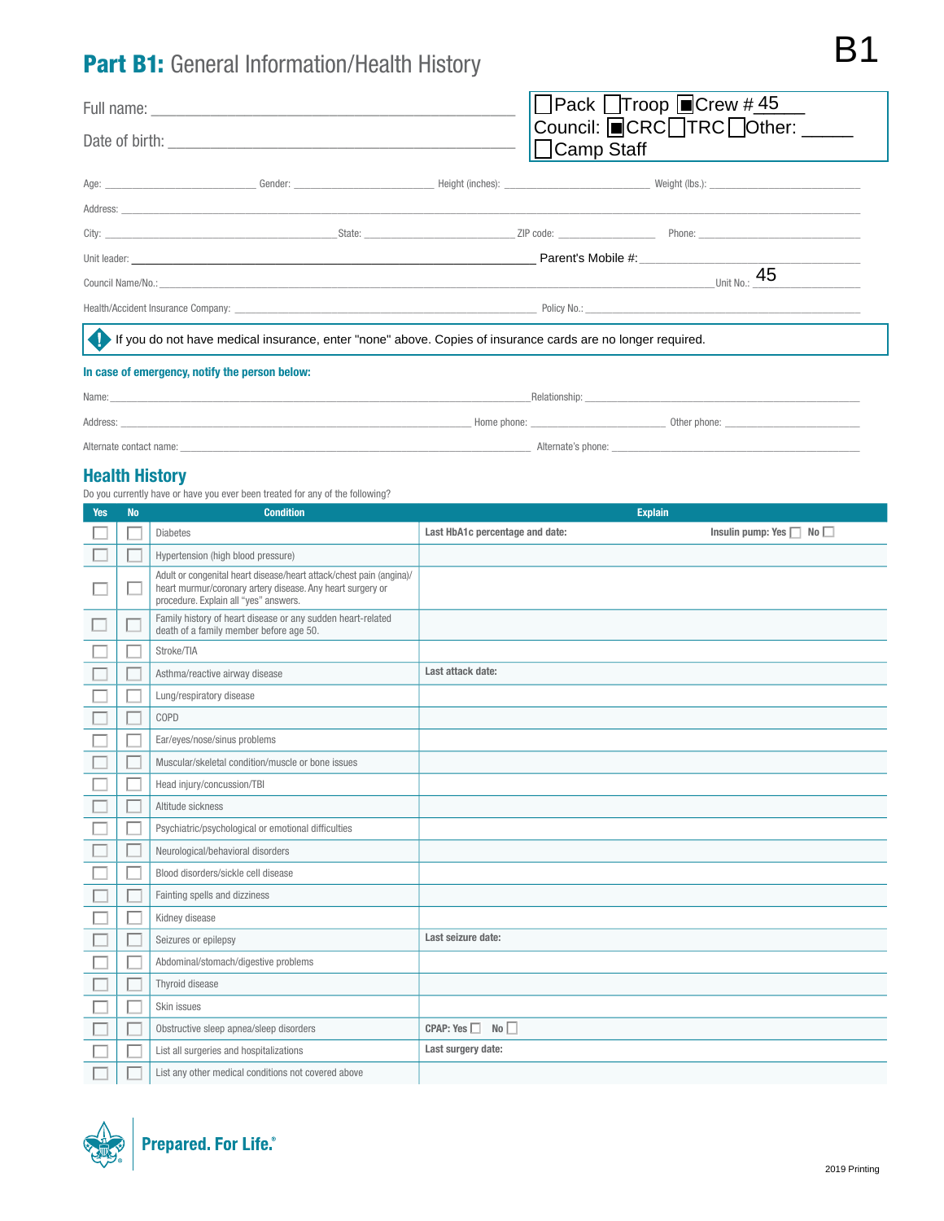# Part B1: General Information/Health History

| <b>Part B1:</b> General Information/Health History                                                          |  |                                                                                                  |  |                                                                                                                                                                                                                               |  |
|-------------------------------------------------------------------------------------------------------------|--|--------------------------------------------------------------------------------------------------|--|-------------------------------------------------------------------------------------------------------------------------------------------------------------------------------------------------------------------------------|--|
|                                                                                                             |  | $\Box$ Pack $\Box$ Troop $\Box$ Crew #45<br>Council: <b>■</b> CRC□TRC□Other: ____<br>□Camp Staff |  |                                                                                                                                                                                                                               |  |
|                                                                                                             |  |                                                                                                  |  | Age: Neght (local comparison) (Sender: Neght (local comparison) (Sender: Neght (local comparison) (Sender: Neght (local comparison) (Sender: Neght (local comparison) (Sender: Neght (local comparison) (Sender: Neght (local |  |
|                                                                                                             |  |                                                                                                  |  |                                                                                                                                                                                                                               |  |
|                                                                                                             |  |                                                                                                  |  |                                                                                                                                                                                                                               |  |
|                                                                                                             |  |                                                                                                  |  | Unit leader: <b>Example 2018 Parent's Mobile #: Parent's Mobile #: Parent's Mobile #:</b>                                                                                                                                     |  |
|                                                                                                             |  |                                                                                                  |  | 45<br>Unit No.:                                                                                                                                                                                                               |  |
|                                                                                                             |  |                                                                                                  |  |                                                                                                                                                                                                                               |  |
| If you do not have medical insurance, enter "none" above. Copies of insurance cards are no longer required. |  |                                                                                                  |  |                                                                                                                                                                                                                               |  |
| In case of emergency, notify the person below:                                                              |  |                                                                                                  |  |                                                                                                                                                                                                                               |  |

| Name:                   |             | Relationship:      |              |
|-------------------------|-------------|--------------------|--------------|
| Address:                | Home phone: |                    | Other phone: |
| Alternate contact name: |             | Alternate's phone: |              |

### Health History

Do you currently have or have you ever been treated for any of the following?

| <b>Yes</b> | <b>No</b> | <b>Condition</b>                                                                                                                                                           | <b>Explain</b>                  |                                    |
|------------|-----------|----------------------------------------------------------------------------------------------------------------------------------------------------------------------------|---------------------------------|------------------------------------|
|            |           | <b>Diabetes</b>                                                                                                                                                            | Last HbA1c percentage and date: | Insulin pump: Yes $\Box$ No $\Box$ |
|            |           | Hypertension (high blood pressure)                                                                                                                                         |                                 |                                    |
|            |           | Adult or congenital heart disease/heart attack/chest pain (angina)/<br>heart murmur/coronary artery disease. Any heart surgery or<br>procedure. Explain all "yes" answers. |                                 |                                    |
|            |           | Family history of heart disease or any sudden heart-related<br>death of a family member before age 50.                                                                     |                                 |                                    |
|            |           | Stroke/TIA                                                                                                                                                                 |                                 |                                    |
|            |           | Asthma/reactive airway disease                                                                                                                                             | Last attack date:               |                                    |
|            |           | Lung/respiratory disease                                                                                                                                                   |                                 |                                    |
|            |           | COPD                                                                                                                                                                       |                                 |                                    |
|            |           | Ear/eyes/nose/sinus problems                                                                                                                                               |                                 |                                    |
|            |           | Muscular/skeletal condition/muscle or bone issues                                                                                                                          |                                 |                                    |
|            |           | Head injury/concussion/TBI                                                                                                                                                 |                                 |                                    |
|            |           | Altitude sickness                                                                                                                                                          |                                 |                                    |
|            |           | Psychiatric/psychological or emotional difficulties                                                                                                                        |                                 |                                    |
|            |           | Neurological/behavioral disorders                                                                                                                                          |                                 |                                    |
|            |           | Blood disorders/sickle cell disease                                                                                                                                        |                                 |                                    |
|            |           | Fainting spells and dizziness                                                                                                                                              |                                 |                                    |
|            |           | Kidney disease                                                                                                                                                             |                                 |                                    |
|            |           | Seizures or epilepsy                                                                                                                                                       | Last seizure date:              |                                    |
|            |           | Abdominal/stomach/digestive problems                                                                                                                                       |                                 |                                    |
|            |           | Thyroid disease                                                                                                                                                            |                                 |                                    |
|            |           | Skin issues                                                                                                                                                                |                                 |                                    |
|            |           | Obstructive sleep apnea/sleep disorders                                                                                                                                    | CPAP: Yes<br>No                 |                                    |
|            |           | List all surgeries and hospitalizations                                                                                                                                    | Last surgery date:              |                                    |
|            |           | List any other medical conditions not covered above                                                                                                                        |                                 |                                    |

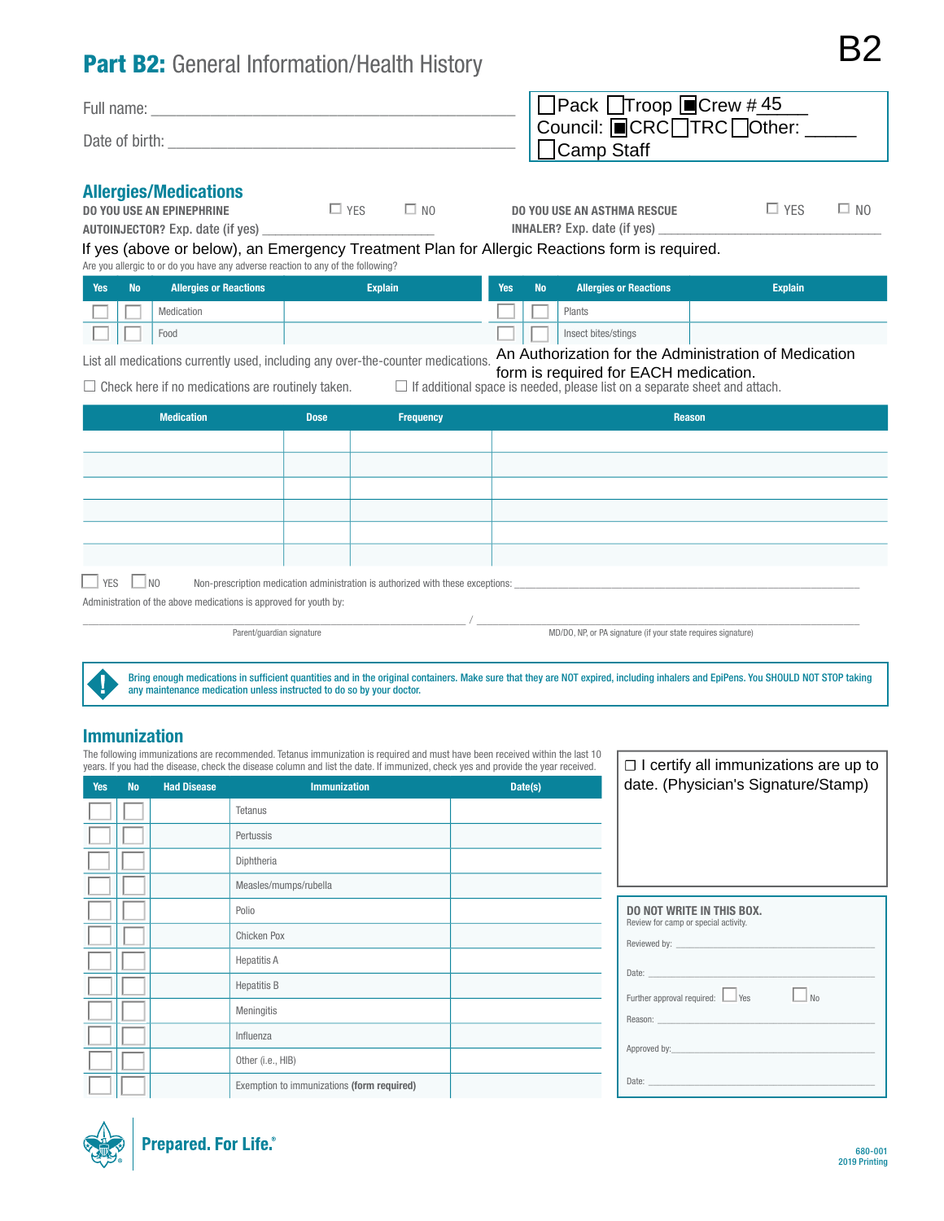# Part B2: General Information/Health History

| <b>Part B2:</b> General Information/Health History |                                                                      |  |
|----------------------------------------------------|----------------------------------------------------------------------|--|
| Full name:<br>Date of birth:                       | DPack Troop DCrew #45<br>Council: DCRC TRC Other: ___<br>DCamp Staff |  |

#### Allergies/Medications

| <b>DO YOU USE AN EPINEPHRINE</b>        | $\Box$ YFS | $\square$ NO |
|-----------------------------------------|------------|--------------|
| <b>AUTOINJECTOR?</b> Exp. date (if yes) |            |              |

DO YOU USE AN ASTHMA RESCUE  $\Box$  YES  $\Box$  NO INHALER? Exp. date (if yes)

#### Are you allergic to or do you have any adverse reaction to any of the following? If yes (above or below), an Emergency Treatment Plan for Allergic Reactions form is required.

| Yes | <b>No</b> | <b>Allergies or Reactions</b> | <b>Explain</b> | <b>Yes</b> | No <sup>3</sup> | <b>Allergies or Reactions</b> | <b>Explain</b>                                                                                       |
|-----|-----------|-------------------------------|----------------|------------|-----------------|-------------------------------|------------------------------------------------------------------------------------------------------|
|     |           | Medication                    |                |            |                 | Plants                        |                                                                                                      |
|     |           | Food                          |                |            |                 | Insect bites/stings           |                                                                                                      |
|     |           |                               |                |            |                 |                               | $A \cup A$ and $A \cup B$ are $A \cup B$ and $A \cup B$ are $A \cup B$ and $A \cup B$ are $A \cup B$ |

List all medications currently used, including any over-the-counter medications. An Authorization for the Administration of Medication

form is required for EACH medication.

 $\Box$  Check here if no medications are routinely taken.  $\Box$  If additional space is needed, please list on a separate sheet and attach.

| <b>Medication</b>                                                                                                                         | <b>Dose</b> | Frequency | <b>Reason</b> |  |  |  |
|-------------------------------------------------------------------------------------------------------------------------------------------|-------------|-----------|---------------|--|--|--|
|                                                                                                                                           |             |           |               |  |  |  |
|                                                                                                                                           |             |           |               |  |  |  |
|                                                                                                                                           |             |           |               |  |  |  |
|                                                                                                                                           |             |           |               |  |  |  |
|                                                                                                                                           |             |           |               |  |  |  |
|                                                                                                                                           |             |           |               |  |  |  |
| $\Box$ YES<br>$\Box$ NO<br>Non-prescription medication administration is authorized with these exceptions: ______________________________ |             |           |               |  |  |  |
| Administration of the above medications is approved for youth by:                                                                         |             |           |               |  |  |  |

, which is the contribution of the contribution of  $\mathcal{N}_{\rm{max}}$  ,  $\mathcal{N}_{\rm{max}}$  ,  $\mathcal{N}_{\rm{max}}$ 

Parent/guardian signature MD/DO, NP, or PA signature (if your state requires signature)

 $\Box$  I certify all immunizations are up to

Bring enough medications in sufficient quantities and in the original containers. Make sure that they are NOT expired, including inhalers and EpiPens. You SHOULD NOT STOP taking any maintenance medication unless instructed to do so by your doctor.

## Immunization

The following immunizations are recommended. Tetanus immunization is required and must have been received within the last 10 years. If you had the disease, check the disease column and list the date. If immunized, check yes and provide the year received.

| Yes | <b>No</b> | <b>Had Disease</b> | <b>Immunization</b>                        | Date(s) | date. (Physician's Signature/Stamp)                                                                                                                                                                                                                                          |
|-----|-----------|--------------------|--------------------------------------------|---------|------------------------------------------------------------------------------------------------------------------------------------------------------------------------------------------------------------------------------------------------------------------------------|
|     |           |                    | <b>Tetanus</b>                             |         |                                                                                                                                                                                                                                                                              |
|     |           |                    | Pertussis                                  |         |                                                                                                                                                                                                                                                                              |
|     |           |                    | Diphtheria                                 |         |                                                                                                                                                                                                                                                                              |
|     |           |                    | Measles/mumps/rubella                      |         |                                                                                                                                                                                                                                                                              |
|     |           |                    | Polio                                      |         | <b>DO NOT WRITE IN THIS BOX.</b><br>Review for camp or special activity.                                                                                                                                                                                                     |
|     |           |                    | Chicken Pox                                |         |                                                                                                                                                                                                                                                                              |
|     |           |                    | <b>Hepatitis A</b>                         |         |                                                                                                                                                                                                                                                                              |
|     |           |                    | <b>Hepatitis B</b>                         |         | Date: Date: Production of the Contract of the Contract of the Contract of the Contract of the Contract of the Contract of the Contract of the Contract of the Contract of the Contract of the Contract of the Contract of the<br>$\Box$ No<br>Further approval required: Ves |
|     |           |                    | Meningitis                                 |         |                                                                                                                                                                                                                                                                              |
|     |           |                    | Influenza                                  |         |                                                                                                                                                                                                                                                                              |
|     |           |                    | Other (i.e., HIB)                          |         |                                                                                                                                                                                                                                                                              |
|     |           |                    | Exemption to immunizations (form required) |         | Date: the contract of the contract of the contract of the contract of the contract of the contract of the contract of the contract of the contract of the contract of the contract of the contract of the contract of the cont                                               |

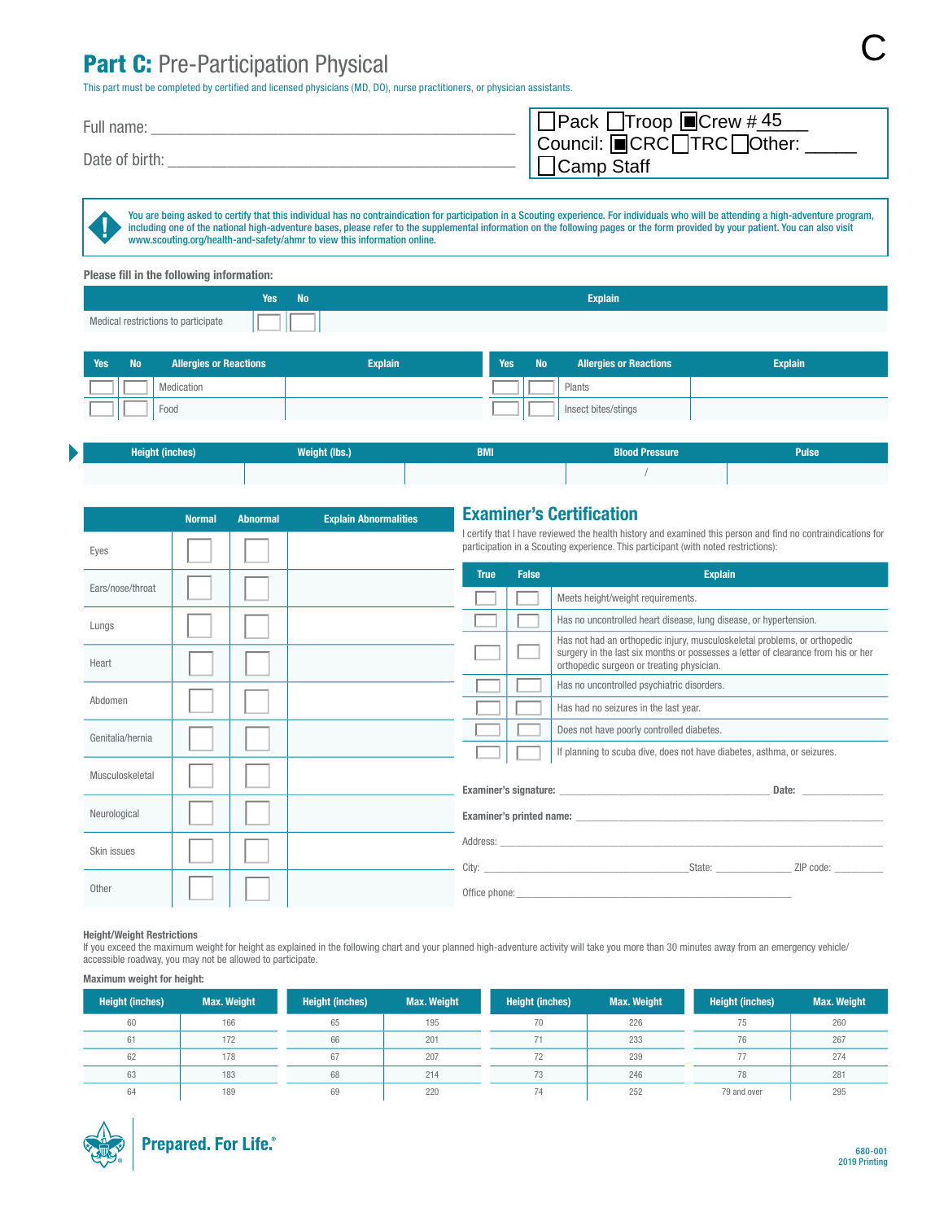# Part C: Pre-Participation Physical

| <b>Part C:</b> Pre-Participation Physical<br>This part must be completed by certified and licensed physicians (MD, DO), nurse practitioners, or physician assistants. |                                                 |  |
|-----------------------------------------------------------------------------------------------------------------------------------------------------------------------|-------------------------------------------------|--|
| Full name:                                                                                                                                                            | OPack OTroop OCrew #45                          |  |
| Date of birth:                                                                                                                                                        | Council: ■CRC□TRC□Other: _<br>$\Box$ Camp Staff |  |

You are being asked to certify that this individual has no contraindication for participation in a Scouting experience. For individuals who will be attending a high-adventure program, including one of the national high-adventure bases, please refer to the supplemental information on the following pages or the form provided by your patient. You can also visit www.scouting.org/health-and-safety/ahmr to view this information online.

| Please fill in the following information: |        |                |  |  |  |
|-------------------------------------------|--------|----------------|--|--|--|
|                                           | Yes No | <b>Explain</b> |  |  |  |
| Medical restrictions to participate       |        |                |  |  |  |

| Yes | <b>No</b> | <b>Allergies or Reactions</b> | <b>Explain</b> | Yes | <b>No</b> | <b>Allergies or Reactions</b> | <b>Explain</b> |
|-----|-----------|-------------------------------|----------------|-----|-----------|-------------------------------|----------------|
|     |           | Medication                    |                |     |           | Plants                        |                |
|     |           | Food                          |                |     |           | Insect bites/stings           |                |

| <b>Height (inches)</b> | <b>Weight (lbs.)</b> | <b>BMI</b> | <b>Blood Pressure</b> | <b>Pulse</b> |
|------------------------|----------------------|------------|-----------------------|--------------|
|                        |                      |            |                       |              |

|                  | <b>Normal</b> | <b>Abnormal</b> | <b>Explain Abnormalities</b> | <b>Examiner's Certification</b>                                                                                                                                                                     |              |                                                                                                                                                                                                             |  |
|------------------|---------------|-----------------|------------------------------|-----------------------------------------------------------------------------------------------------------------------------------------------------------------------------------------------------|--------------|-------------------------------------------------------------------------------------------------------------------------------------------------------------------------------------------------------------|--|
| Eyes             |               |                 |                              | I certify that I have reviewed the health history and examined this person and find no contraindications for<br>participation in a Scouting experience. This participant (with noted restrictions): |              |                                                                                                                                                                                                             |  |
|                  |               |                 |                              | <b>True</b>                                                                                                                                                                                         | <b>False</b> | <b>Explain</b>                                                                                                                                                                                              |  |
| Ears/nose/throat |               |                 |                              |                                                                                                                                                                                                     |              | Meets height/weight requirements.                                                                                                                                                                           |  |
| Lungs            |               |                 |                              |                                                                                                                                                                                                     |              | Has no uncontrolled heart disease, lung disease, or hypertension.                                                                                                                                           |  |
| Heart            |               |                 |                              |                                                                                                                                                                                                     |              | Has not had an orthopedic injury, musculoskeletal problems, or orthopedic<br>surgery in the last six months or possesses a letter of clearance from his or her<br>orthopedic surgeon or treating physician. |  |
|                  |               |                 |                              |                                                                                                                                                                                                     |              | Has no uncontrolled psychiatric disorders.                                                                                                                                                                  |  |
| Abdomen          |               |                 |                              |                                                                                                                                                                                                     |              | Has had no seizures in the last year.                                                                                                                                                                       |  |
| Genitalia/hernia |               |                 |                              |                                                                                                                                                                                                     |              | Does not have poorly controlled diabetes.                                                                                                                                                                   |  |
|                  |               |                 |                              |                                                                                                                                                                                                     |              | If planning to scuba dive, does not have diabetes, asthma, or seizures.                                                                                                                                     |  |
| Musculoskeletal  |               |                 |                              |                                                                                                                                                                                                     |              | Date: <u>www.community.com</u>                                                                                                                                                                              |  |
| Neurological     |               |                 |                              |                                                                                                                                                                                                     |              |                                                                                                                                                                                                             |  |
| Skin issues      |               |                 |                              |                                                                                                                                                                                                     |              | ZIP code: _________                                                                                                                                                                                         |  |
| Other            |               |                 |                              |                                                                                                                                                                                                     |              |                                                                                                                                                                                                             |  |

#### Height/Weight Restrictions

b

If you exceed the maximum weight for height as explained in the following chart and your planned high-adventure activity will take you more than 30 minutes away from an emergency vehicle/ accessible roadway, you may not be allowed to participate.

#### Maximum weight for height:

| <b>Height (inches)</b> | <b>Max. Weight</b> | <b>Height (inches)</b> | <b>Max. Weight</b> | <b>Height (inches)</b> | <b>Max. Weight</b> | <b>Height (inches)</b> | <b>Max. Weight</b> |
|------------------------|--------------------|------------------------|--------------------|------------------------|--------------------|------------------------|--------------------|
| 60                     | 166                | 65                     | 195                | 70                     | 226                | 75.                    | 260                |
| 61                     | 172                | 66                     | 201                | 71                     | 233                | 76                     | 267                |
| 62                     | 178                | 67                     | 207                | 72                     | 239                |                        | 274                |
| 63                     | 183                | 68                     | 214                | 73                     | 246                | 78                     | 281                |
| 64                     | 189                | 69                     | 220                | 74                     | 252                | 79 and over            | 295                |